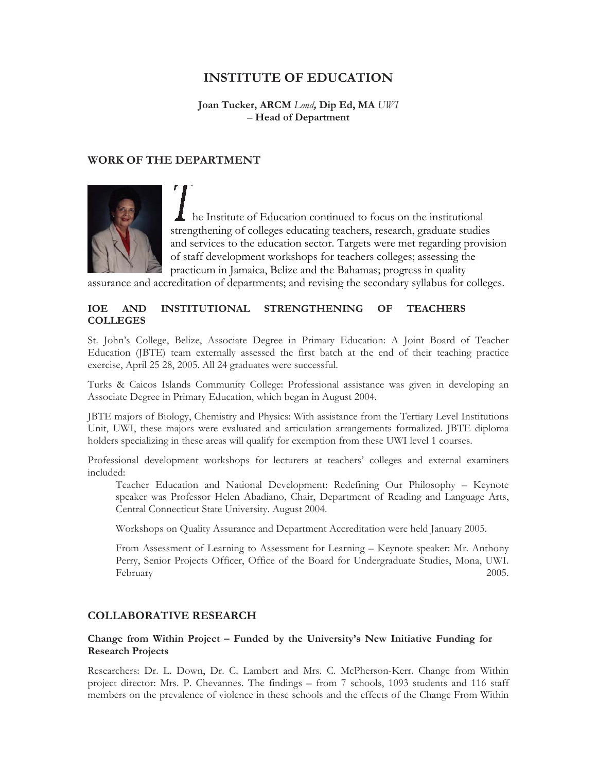# **INSTITUTE OF EDUCATION**

**Joan Tucker, ARCM** *Lond***, Dip Ed, MA** *UWI*  – **Head of Department** 

### **WORK OF THE DEPARTMENT**



he Institute of Education continued to focus on the institutional strengthening of colleges educating teachers, research, graduate studies and services to the education sector. Targets were met regarding provision of staff development workshops for teachers colleges; assessing the practicum in Jamaica, Belize and the Bahamas; progress in quality

assurance and accreditation of departments; and revising the secondary syllabus for colleges.

#### **IOE AND INSTITUTIONAL STRENGTHENING OF TEACHERS COLLEGES**

St. John's College, Belize, Associate Degree in Primary Education: A Joint Board of Teacher Education (JBTE) team externally assessed the first batch at the end of their teaching practice exercise, April 25 28, 2005. All 24 graduates were successful.

Turks & Caicos Islands Community College: Professional assistance was given in developing an Associate Degree in Primary Education, which began in August 2004.

JBTE majors of Biology, Chemistry and Physics: With assistance from the Tertiary Level Institutions Unit, UWI, these majors were evaluated and articulation arrangements formalized. JBTE diploma holders specializing in these areas will qualify for exemption from these UWI level 1 courses.

Professional development workshops for lecturers at teachers' colleges and external examiners included:

Teacher Education and National Development: Redefining Our Philosophy – Keynote speaker was Professor Helen Abadiano, Chair, Department of Reading and Language Arts, Central Connecticut State University. August 2004.

Workshops on Quality Assurance and Department Accreditation were held January 2005.

From Assessment of Learning to Assessment for Learning – Keynote speaker: Mr. Anthony Perry, Senior Projects Officer, Office of the Board for Undergraduate Studies, Mona, UWI. February 2005.

#### **COLLABORATIVE RESEARCH**

### **Change from Within Project – Funded by the University's New Initiative Funding for Research Projects**

Researchers: Dr. L. Down, Dr. C. Lambert and Mrs. C. McPherson-Kerr. Change from Within project director: Mrs. P. Chevannes. The findings – from 7 schools, 1093 students and 116 staff members on the prevalence of violence in these schools and the effects of the Change From Within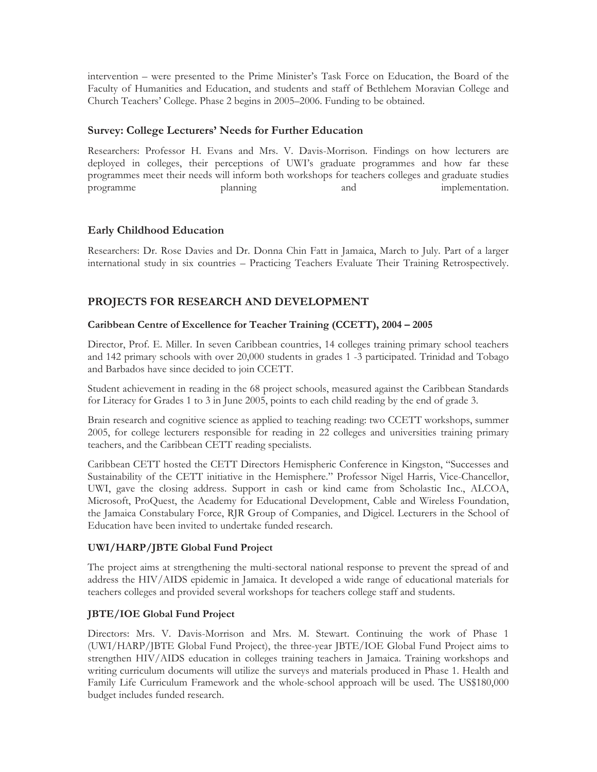intervention – were presented to the Prime Minister's Task Force on Education, the Board of the Faculty of Humanities and Education, and students and staff of Bethlehem Moravian College and Church Teachers' College. Phase 2 begins in 2005–2006. Funding to be obtained.

## **Survey: College Lecturers' Needs for Further Education**

Researchers: Professor H. Evans and Mrs. V. Davis-Morrison. Findings on how lecturers are deployed in colleges, their perceptions of UWI's graduate programmes and how far these programmes meet their needs will inform both workshops for teachers colleges and graduate studies programme planning and implementation.

## **Early Childhood Education**

Researchers: Dr. Rose Davies and Dr. Donna Chin Fatt in Jamaica, March to July. Part of a larger international study in six countries – Practicing Teachers Evaluate Their Training Retrospectively.

## **PROJECTS FOR RESEARCH AND DEVELOPMENT**

### **Caribbean Centre of Excellence for Teacher Training (CCETT), 2004 – 2005**

Director, Prof. E. Miller. In seven Caribbean countries, 14 colleges training primary school teachers and 142 primary schools with over 20,000 students in grades 1 -3 participated. Trinidad and Tobago and Barbados have since decided to join CCETT.

Student achievement in reading in the 68 project schools, measured against the Caribbean Standards for Literacy for Grades 1 to 3 in June 2005, points to each child reading by the end of grade 3.

Brain research and cognitive science as applied to teaching reading: two CCETT workshops, summer 2005, for college lecturers responsible for reading in 22 colleges and universities training primary teachers, and the Caribbean CETT reading specialists.

Caribbean CETT hosted the CETT Directors Hemispheric Conference in Kingston, "Successes and Sustainability of the CETT initiative in the Hemisphere." Professor Nigel Harris, Vice-Chancellor, UWI, gave the closing address. Support in cash or kind came from Scholastic Inc., ALCOA, Microsoft, ProQuest, the Academy for Educational Development, Cable and Wireless Foundation, the Jamaica Constabulary Force, RJR Group of Companies, and Digicel. Lecturers in the School of Education have been invited to undertake funded research.

## **UWI/HARP/JBTE Global Fund Project**

The project aims at strengthening the multi-sectoral national response to prevent the spread of and address the HIV/AIDS epidemic in Jamaica. It developed a wide range of educational materials for teachers colleges and provided several workshops for teachers college staff and students.

## **JBTE/IOE Global Fund Project**

Directors: Mrs. V. Davis-Morrison and Mrs. M. Stewart. Continuing the work of Phase 1 (UWI/HARP/JBTE Global Fund Project), the three-year JBTE/IOE Global Fund Project aims to strengthen HIV/AIDS education in colleges training teachers in Jamaica. Training workshops and writing curriculum documents will utilize the surveys and materials produced in Phase 1. Health and Family Life Curriculum Framework and the whole-school approach will be used. The US\$180,000 budget includes funded research.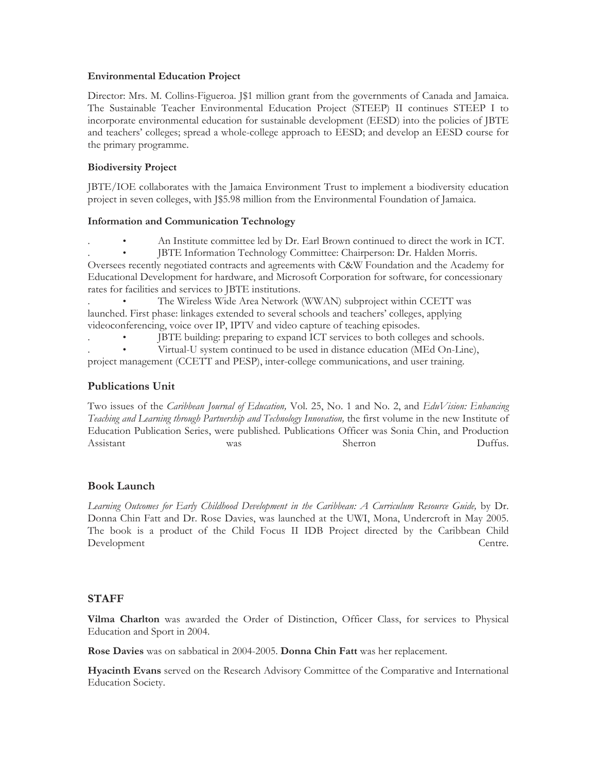#### **Environmental Education Project**

Director: Mrs. M. Collins-Figueroa. J\$1 million grant from the governments of Canada and Jamaica. The Sustainable Teacher Environmental Education Project (STEEP) II continues STEEP I to incorporate environmental education for sustainable development (EESD) into the policies of JBTE and teachers' colleges; spread a whole-college approach to EESD; and develop an EESD course for the primary programme.

## **Biodiversity Project**

JBTE/IOE collaborates with the Jamaica Environment Trust to implement a biodiversity education project in seven colleges, with J\$5.98 million from the Environmental Foundation of Jamaica.

### **Information and Communication Technology**

- . An Institute committee led by Dr. Earl Brown continued to direct the work in ICT.
- . JBTE Information Technology Committee: Chairperson: Dr. Halden Morris.

Oversees recently negotiated contracts and agreements with C&W Foundation and the Academy for Educational Development for hardware, and Microsoft Corporation for software, for concessionary rates for facilities and services to JBTE institutions.

The Wireless Wide Area Network (WWAN) subproject within CCETT was launched. First phase: linkages extended to several schools and teachers' colleges, applying videoconferencing, voice over IP, IPTV and video capture of teaching episodes.

. • JBTE building: preparing to expand ICT services to both colleges and schools.

. • Virtual-U system continued to be used in distance education (MEd On-Line), project management (CCETT and PESP), inter-college communications, and user training.

## **Publications Unit**

Two issues of the *Caribbean Journal of Education,* Vol. 25, No. 1 and No. 2, and *EduVision: Enhancing Teaching and Learning through Partnership and Technology Innovation,* the first volume in the new Institute of Education Publication Series, were published. Publications Officer was Sonia Chin, and Production Assistant was was Sherron Duffus.

## **Book Launch**

*Learning Outcomes for Early Childhood Development in the Caribbean: A Curriculum Resource Guide,* by Dr. Donna Chin Fatt and Dr. Rose Davies, was launched at the UWI, Mona, Undercroft in May 2005. The book is a product of the Child Focus II IDB Project directed by the Caribbean Child Development Centre.

## **STAFF**

**Vilma Charlton** was awarded the Order of Distinction, Officer Class, for services to Physical Education and Sport in 2004.

**Rose Davies** was on sabbatical in 2004-2005. **Donna Chin Fatt** was her replacement.

**Hyacinth Evans** served on the Research Advisory Committee of the Comparative and International Education Society.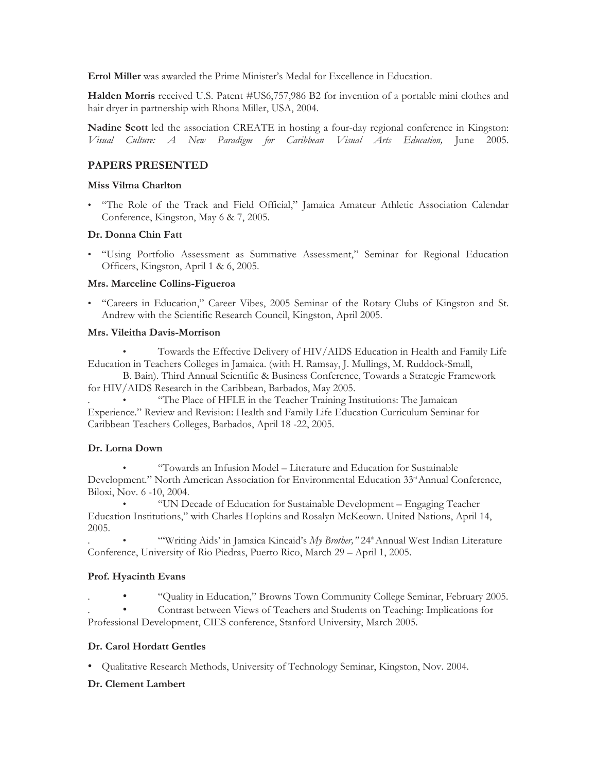**Errol Miller** was awarded the Prime Minister's Medal for Excellence in Education.

**Halden Morris** received U.S. Patent #US6,757,986 B2 for invention of a portable mini clothes and hair dryer in partnership with Rhona Miller, USA, 2004.

**Nadine Scott** led the association CREATE in hosting a four-day regional conference in Kingston: *Visual Culture: A New Paradigm for Caribbean Visual Arts Education,* June 2005.

## **PAPERS PRESENTED**

### **Miss Vilma Charlton**

• "The Role of the Track and Field Official," Jamaica Amateur Athletic Association Calendar Conference, Kingston, May 6 & 7, 2005.

## **Dr. Donna Chin Fatt**

• "Using Portfolio Assessment as Summative Assessment," Seminar for Regional Education Officers, Kingston, April 1 & 6, 2005.

### **Mrs. Marceline Collins-Figueroa**

• "Careers in Education," Career Vibes, 2005 Seminar of the Rotary Clubs of Kingston and St. Andrew with the Scientific Research Council, Kingston, April 2005.

### **Mrs. Vileitha Davis-Morrison**

• Towards the Effective Delivery of HIV/AIDS Education in Health and Family Life Education in Teachers Colleges in Jamaica. (with H. Ramsay, J. Mullings, M. Ruddock-Small,

B. Bain). Third Annual Scientific & Business Conference, Towards a Strategic Framework for HIV/AIDS Research in the Caribbean, Barbados, May 2005.

. • "The Place of HFLE in the Teacher Training Institutions: The Jamaican Experience." Review and Revision: Health and Family Life Education Curriculum Seminar for Caribbean Teachers Colleges, Barbados, April 18 -22, 2005.

## **Dr. Lorna Down**

• "Towards an Infusion Model – Literature and Education for Sustainable Development." North American Association for Environmental Education 33<sup>d</sup> Annual Conference, Biloxi, Nov. 6 -10, 2004.

• "UN Decade of Education for Sustainable Development – Engaging Teacher Education Institutions," with Charles Hopkins and Rosalyn McKeown. United Nations, April 14, 2005.

"Writing Aids' in Jamaica Kincaid's *My Brother*," 24<sup>th</sup> Annual West Indian Literature Conference, University of Rio Piedras, Puerto Rico, March 29 – April 1, 2005.

## **Prof. Hyacinth Evans**

. • "Quality in Education," Browns Town Community College Seminar, February 2005. . • Contrast between Views of Teachers and Students on Teaching: Implications for

Professional Development, CIES conference, Stanford University, March 2005.

## **Dr. Carol Hordatt Gentles**

• Qualitative Research Methods, University of Technology Seminar, Kingston, Nov. 2004.

## **Dr. Clement Lambert**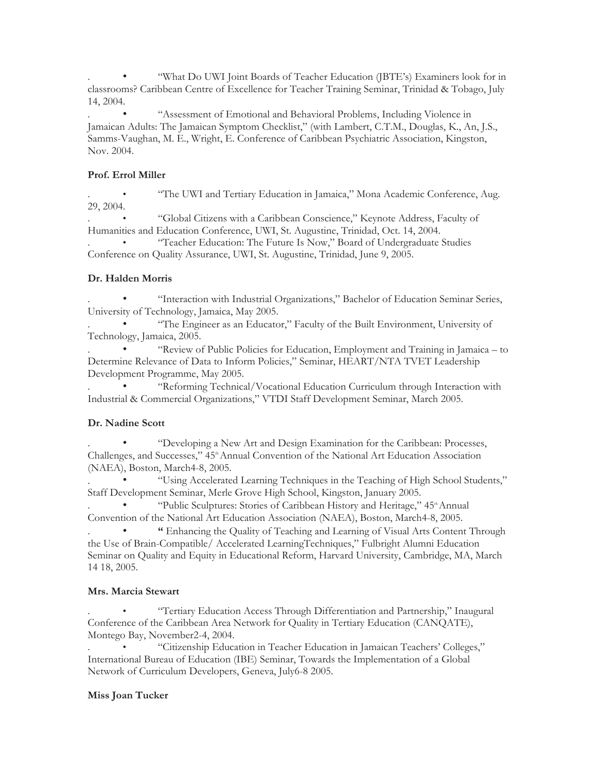. • "What Do UWI Joint Boards of Teacher Education (JBTE's) Examiners look for in classrooms? Caribbean Centre of Excellence for Teacher Training Seminar, Trinidad & Tobago, July 14, 2004.

. • "Assessment of Emotional and Behavioral Problems, Including Violence in Jamaican Adults: The Jamaican Symptom Checklist," (with Lambert, C.T.M., Douglas, K., An, J.S., Samms-Vaughan, M. E., Wright, E. Conference of Caribbean Psychiatric Association, Kingston, Nov. 2004.

## **Prof. Errol Miller**

. • "The UWI and Tertiary Education in Jamaica," Mona Academic Conference, Aug. 29, 2004.

. • "Global Citizens with a Caribbean Conscience," Keynote Address, Faculty of Humanities and Education Conference, UWI, St. Augustine, Trinidad, Oct. 14, 2004.

. • "Teacher Education: The Future Is Now," Board of Undergraduate Studies Conference on Quality Assurance, UWI, St. Augustine, Trinidad, June 9, 2005.

## **Dr. Halden Morris**

. • "Interaction with Industrial Organizations," Bachelor of Education Seminar Series, University of Technology, Jamaica, May 2005.

. • "The Engineer as an Educator," Faculty of the Built Environment, University of Technology, Jamaica, 2005.

. • "Review of Public Policies for Education, Employment and Training in Jamaica – to Determine Relevance of Data to Inform Policies," Seminar, HEART/NTA TVET Leadership Development Programme, May 2005.

. • "Reforming Technical/Vocational Education Curriculum through Interaction with Industrial & Commercial Organizations," VTDI Staff Development Seminar, March 2005.

## **Dr. Nadine Scott**

. • "Developing a New Art and Design Examination for the Caribbean: Processes, Challenges, and Successes," 45<sup>th</sup> Annual Convention of the National Art Education Association (NAEA), Boston, March4-8, 2005.

. • "Using Accelerated Learning Techniques in the Teaching of High School Students," Staff Development Seminar, Merle Grove High School, Kingston, January 2005.

"Public Sculptures: Stories of Caribbean History and Heritage," 45<sup>th</sup> Annual Convention of the National Art Education Association (NAEA), Boston, March4-8, 2005.

. • **"** Enhancing the Quality of Teaching and Learning of Visual Arts Content Through the Use of Brain-Compatible/ Accelerated LearningTechniques," Fulbright Alumni Education Seminar on Quality and Equity in Educational Reform, Harvard University, Cambridge, MA, March 14 18, 2005.

## **Mrs. Marcia Stewart**

. • "Tertiary Education Access Through Differentiation and Partnership," Inaugural Conference of the Caribbean Area Network for Quality in Tertiary Education (CANQATE), Montego Bay, November2-4, 2004.

. • "Citizenship Education in Teacher Education in Jamaican Teachers' Colleges," International Bureau of Education (IBE) Seminar, Towards the Implementation of a Global Network of Curriculum Developers, Geneva, July6-8 2005.

## **Miss Joan Tucker**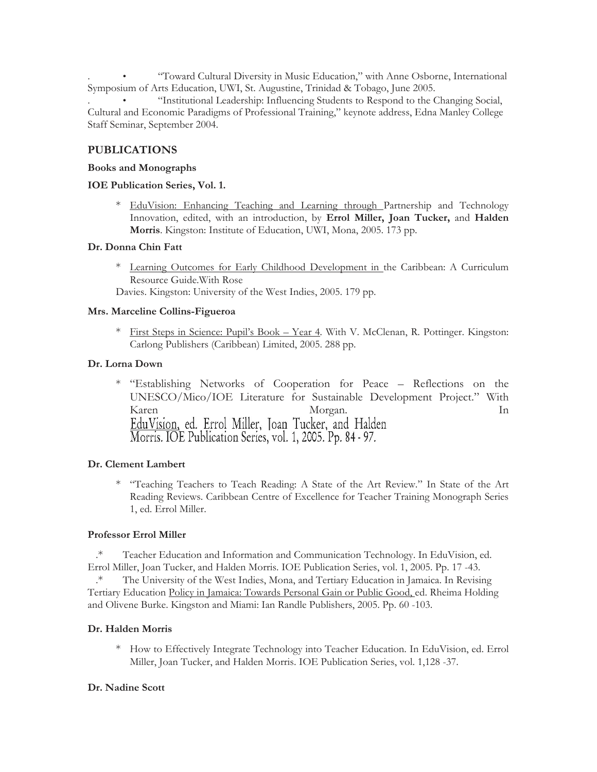. • "Toward Cultural Diversity in Music Education," with Anne Osborne, International Symposium of Arts Education, UWI, St. Augustine, Trinidad & Tobago, June 2005.

. • "Institutional Leadership: Influencing Students to Respond to the Changing Social, Cultural and Economic Paradigms of Professional Training," keynote address, Edna Manley College Staff Seminar, September 2004.

## **PUBLICATIONS**

#### **Books and Monographs**

### **IOE Publication Series, Vol. 1.**

\* EduVision: Enhancing Teaching and Learning through Partnership and Technology Innovation, edited, with an introduction, by **Errol Miller, Joan Tucker,** and **Halden Morris**. Kingston: Institute of Education, UWI, Mona, 2005. 173 pp.

### **Dr. Donna Chin Fatt**

\* Learning Outcomes for Early Childhood Development in the Caribbean: A Curriculum Resource Guide.With Rose

Davies. Kingston: University of the West Indies, 2005. 179 pp.

### **Mrs. Marceline Collins-Figueroa**

\* First Steps in Science: Pupil's Book – Year 4*.* With V. McClenan, R. Pottinger. Kingston: Carlong Publishers (Caribbean) Limited, 2005. 288 pp.

### **Dr. Lorna Down**

\* "Establishing Networks of Cooperation for Peace – Reflections on the UNESCO/Mico/IOE Literature for Sustainable Development Project." With Karen Morgan.<br>EduVision, ed. Errol Miller, Joan Tucker, and Halden In Morris. IOE Publication Series, vol. 1, 2005. Pp. 84 - 97.

## **Dr. Clement Lambert**

\* "Teaching Teachers to Teach Reading: A State of the Art Review." In State of the Art Reading Reviews. Caribbean Centre of Excellence for Teacher Training Monograph Series 1, ed. Errol Miller.

#### **Professor Errol Miller**

.\* Teacher Education and Information and Communication Technology. In EduVision, ed. Errol Miller, Joan Tucker, and Halden Morris. IOE Publication Series, vol. 1, 2005. Pp. 17 -43. .\* The University of the West Indies, Mona, and Tertiary Education in Jamaica. In Revising Tertiary Education Policy in Jamaica: Towards Personal Gain or Public Good, ed. Rheima Holding and Olivene Burke. Kingston and Miami: Ian Randle Publishers, 2005. Pp. 60 -103.

#### **Dr. Halden Morris**

\* How to Effectively Integrate Technology into Teacher Education. In EduVision, ed. Errol Miller, Joan Tucker, and Halden Morris. IOE Publication Series, vol. 1,128 -37.

#### **Dr. Nadine Scott**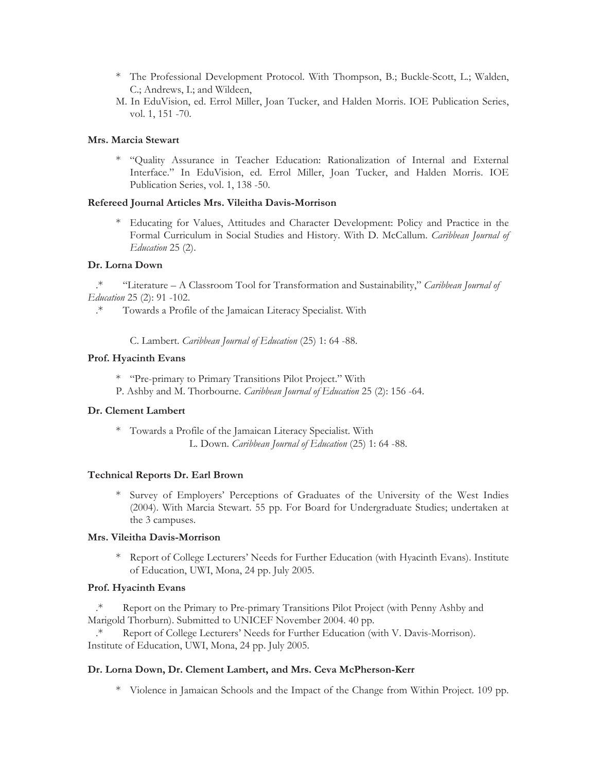- \* The Professional Development Protocol. With Thompson, B.; Buckle-Scott, L.; Walden, C.; Andrews, I.; and Wildeen,
- M. In EduVision, ed. Errol Miller, Joan Tucker, and Halden Morris. IOE Publication Series, vol. 1, 151 -70.

### **Mrs. Marcia Stewart**

\* "Quality Assurance in Teacher Education: Rationalization of Internal and External Interface." In EduVision, ed. Errol Miller, Joan Tucker, and Halden Morris. IOE Publication Series, vol. 1, 138 -50.

#### **Refereed Journal Articles Mrs. Vileitha Davis-Morrison**

\* Educating for Values, Attitudes and Character Development: Policy and Practice in the Formal Curriculum in Social Studies and History. With D. McCallum. *Caribbean Journal of Education* 25 (2).

### **Dr. Lorna Down**

.\* "Literature – A Classroom Tool for Transformation and Sustainability," *Caribbean Journal of Education* 25 (2): 91 -102.

.\* Towards a Profile of the Jamaican Literacy Specialist. With

C. Lambert. *Caribbean Journal of Education* (25) 1: 64 -88.

## **Prof. Hyacinth Evans**

- \* "Pre-primary to Primary Transitions Pilot Project." With
- P. Ashby and M. Thorbourne. *Caribbean Journal of Education* 25 (2): 156 -64.

#### **Dr. Clement Lambert**

\* Towards a Profile of the Jamaican Literacy Specialist. With L. Down. *Caribbean Journal of Education* (25) 1: 64 -88.

#### **Technical Reports Dr. Earl Brown**

\* Survey of Employers' Perceptions of Graduates of the University of the West Indies (2004). With Marcia Stewart. 55 pp. For Board for Undergraduate Studies; undertaken at the 3 campuses.

#### **Mrs. Vileitha Davis-Morrison**

\* Report of College Lecturers' Needs for Further Education (with Hyacinth Evans). Institute of Education, UWI, Mona, 24 pp. July 2005.

#### **Prof. Hyacinth Evans**

.\* Report on the Primary to Pre-primary Transitions Pilot Project (with Penny Ashby and Marigold Thorburn). Submitted to UNICEF November 2004. 40 pp.

.\* Report of College Lecturers' Needs for Further Education (with V. Davis-Morrison). Institute of Education, UWI, Mona, 24 pp. July 2005.

## **Dr. Lorna Down, Dr. Clement Lambert, and Mrs. Ceva McPherson-Kerr**

\* Violence in Jamaican Schools and the Impact of the Change from Within Project. 109 pp.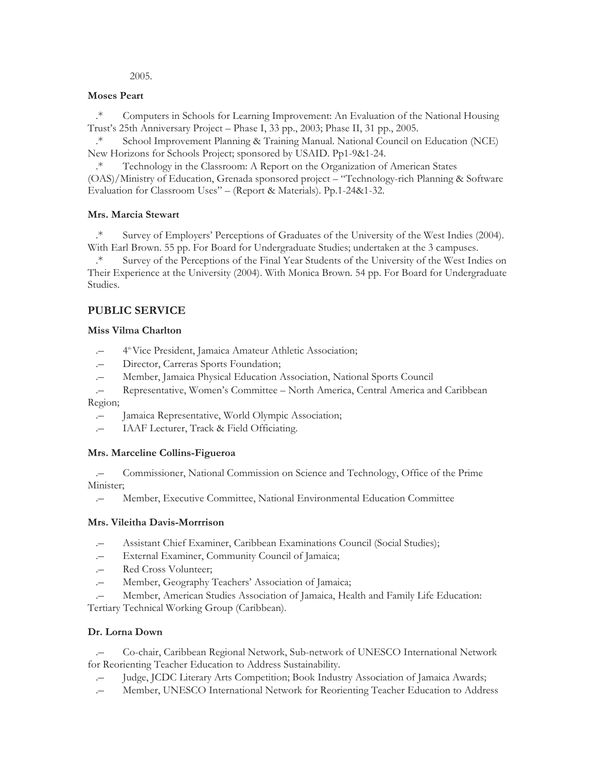2005.

## **Moses Peart**

.\* Computers in Schools for Learning Improvement: An Evaluation of the National Housing Trust's 25th Anniversary Project *–* Phase I, 33 pp., 2003; Phase II, 31 pp., 2005.

.\* School Improvement Planning & Training Manual. National Council on Education (NCE) New Horizons for Schools Project; sponsored by USAID. Pp1-9&1-24.

.\* Technology in the Classroom: A Report on the Organization of American States (OAS)/Ministry of Education, Grenada sponsored project – "Technology-rich Planning & Software Evaluation for Classroom Uses" – (Report & Materials). Pp.1-24&1-32.

## **Mrs. Marcia Stewart**

.\* Survey of Employers' Perceptions of Graduates of the University of the West Indies (2004). With Earl Brown. 55 pp. For Board for Undergraduate Studies; undertaken at the 3 campuses.

.\* Survey of the Perceptions of the Final Year Students of the University of the West Indies on Their Experience at the University (2004). With Monica Brown. 54 pp. For Board for Undergraduate Studies.

## **PUBLIC SERVICE**

## **Miss Vilma Charlton**

- 4<sup>th</sup> Vice President, Jamaica Amateur Athletic Association;
- .– Director, Carreras Sports Foundation;
- .– Member, Jamaica Physical Education Association, National Sports Council
- .– Representative, Women's Committee North America, Central America and Caribbean Region;
	- .– Jamaica Representative, World Olympic Association;
	- .– IAAF Lecturer, Track & Field Officiating.

## **Mrs. Marceline Collins-Figueroa**

.– Commissioner, National Commission on Science and Technology, Office of the Prime Minister;

.– Member, Executive Committee, National Environmental Education Committee

## **Mrs. Vileitha Davis-Morrrison**

- .– Assistant Chief Examiner, Caribbean Examinations Council (Social Studies);
- External Examiner, Community Council of Jamaica;
- .– Red Cross Volunteer;
- .– Member, Geography Teachers' Association of Jamaica;
- .– Member, American Studies Association of Jamaica, Health and Family Life Education:

Tertiary Technical Working Group (Caribbean).

## **Dr. Lorna Down**

.– Co-chair, Caribbean Regional Network, Sub-network of UNESCO International Network for Reorienting Teacher Education to Address Sustainability.

- Judge, JCDC Literary Arts Competition; Book Industry Association of Jamaica Awards;
- .– Member, UNESCO International Network for Reorienting Teacher Education to Address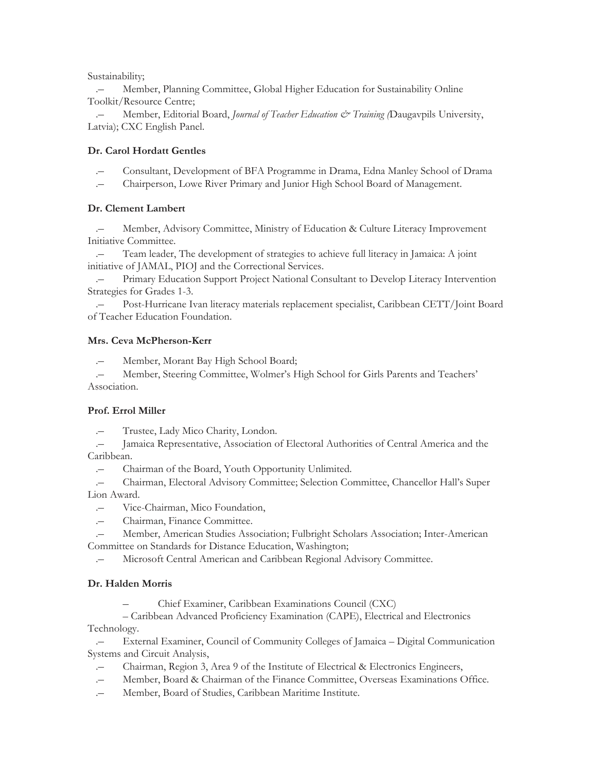Sustainability;

.– Member, Planning Committee, Global Higher Education for Sustainability Online Toolkit/Resource Centre;

.– Member, Editorial Board, *Journal of Teacher Education & Training (*Daugavpils University, Latvia); CXC English Panel.

## **Dr. Carol Hordatt Gentles**

- .– Consultant, Development of BFA Programme in Drama, Edna Manley School of Drama
- .– Chairperson, Lowe River Primary and Junior High School Board of Management.

## **Dr. Clement Lambert**

.– Member, Advisory Committee, Ministry of Education & Culture Literacy Improvement Initiative Committee.

.– Team leader, The development of strategies to achieve full literacy in Jamaica: A joint initiative of JAMAL, PIOJ and the Correctional Services.

.– Primary Education Support Project National Consultant to Develop Literacy Intervention Strategies for Grades 1-3.

.– Post-Hurricane Ivan literacy materials replacement specialist, Caribbean CETT/Joint Board of Teacher Education Foundation.

## **Mrs. Ceva McPherson-Kerr**

.– Member, Morant Bay High School Board;

Member, Steering Committee, Wolmer's High School for Girls Parents and Teachers' Association.

## **Prof. Errol Miller**

.– Trustee, Lady Mico Charity, London.

.– Jamaica Representative, Association of Electoral Authorities of Central America and the Caribbean.

.– Chairman of the Board, Youth Opportunity Unlimited.

.– Chairman, Electoral Advisory Committee; Selection Committee, Chancellor Hall's Super Lion Award.

- .– Vice-Chairman, Mico Foundation,
- .– Chairman, Finance Committee.

.– Member, American Studies Association; Fulbright Scholars Association; Inter-American Committee on Standards for Distance Education, Washington;

.– Microsoft Central American and Caribbean Regional Advisory Committee.

## **Dr. Halden Morris**

– Chief Examiner, Caribbean Examinations Council (CXC)

– Caribbean Advanced Proficiency Examination (CAPE), Electrical and Electronics Technology.

.– External Examiner, Council of Community Colleges of Jamaica – Digital Communication Systems and Circuit Analysis,

- .– Chairman, Region 3, Area 9 of the Institute of Electrical & Electronics Engineers,
- .– Member, Board & Chairman of the Finance Committee, Overseas Examinations Office.
- .– Member, Board of Studies, Caribbean Maritime Institute.